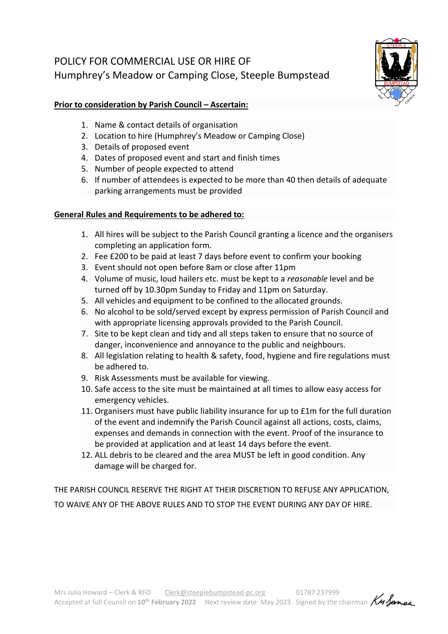## POLICY FOR COMMERCIAL USE OR HIRE OF Humphrey's Meadow or Camping Close, Steeple Bumpstead



## **Prior to consideration by Parish Council – Ascertain:**

- 1. Name & contact details of organisation
- 2. Location to hire (Humphrey's Meadow or Camping Close)
- 3. Details of proposed event
- 4. Dates of proposed event and start and finish times
- 5. Number of people expected to attend
- 6. If number of attendees is expected to be more than 40 then details of adequate parking arrangements must be provided

## **General Rules and Requirements to be adhered to:**

- 1. All hires will be subject to the Parish Council granting a licence and the organisers completing an application form.
- 2. Fee £200 to be paid at least 7 days before event to confirm your booking
- 3. Event should not open before 8am or close after 11pm
- 4. Volume of music, loud hailers etc. must be kept to a *reasonable* level and be turned off by 10.30pm Sunday to Friday and 11pm on Saturday.
- 5. All vehicles and equipment to be confined to the allocated grounds.
- 6. No alcohol to be sold/served except by express permission of Parish Council and with appropriate licensing approvals provided to the Parish Council.
- 7. Site to be kept clean and tidy and all steps taken to ensure that no source of danger, inconvenience and annoyance to the public and neighbours.
- 8. All legislation relating to health & safety, food, hygiene and fire regulations must be adhered to.
- 9. Risk Assessments must be available for viewing.
- 10. Safe access to the site must be maintained at all times to allow easy access for emergency vehicles.
- 11. Organisers must have public liability insurance for up to £1m for the full duration of the event and indemnify the Parish Council against all actions, costs, claims, expenses and demands in connection with the event. Proof of the insurance to be provided at application and at least 14 days before the event.
- 12. ALL debris to be cleared and the area MUST be left in good condition. Any damage will be charged for.

THE PARISH COUNCIL RESERVE THE RIGHT AT THEIR DISCRETION TO REFUSE ANY APPLICATION, TO WAIVE ANY OF THE ABOVE RULES AND TO STOP THE EVENT DURING ANY DAY OF HIRE.